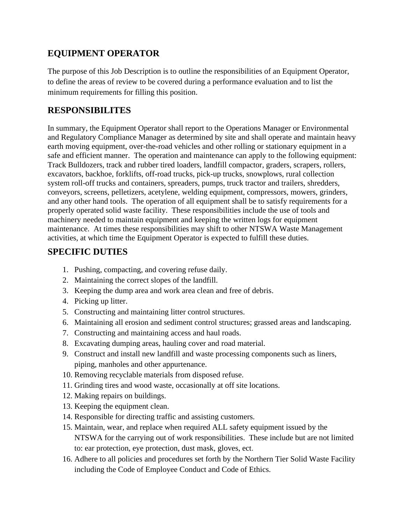## **EQUIPMENT OPERATOR**

The purpose of this Job Description is to outline the responsibilities of an Equipment Operator, to define the areas of review to be covered during a performance evaluation and to list the minimum requirements for filling this position.

## **RESPONSIBILITES**

In summary, the Equipment Operator shall report to the Operations Manager or Environmental and Regulatory Compliance Manager as determined by site and shall operate and maintain heavy earth moving equipment, over-the-road vehicles and other rolling or stationary equipment in a safe and efficient manner. The operation and maintenance can apply to the following equipment: Track Bulldozers, track and rubber tired loaders, landfill compactor, graders, scrapers, rollers, excavators, backhoe, forklifts, off-road trucks, pick-up trucks, snowplows, rural collection system roll-off trucks and containers, spreaders, pumps, truck tractor and trailers, shredders, conveyors, screens, pelletizers, acetylene, welding equipment, compressors, mowers, grinders, and any other hand tools. The operation of all equipment shall be to satisfy requirements for a properly operated solid waste facility. These responsibilities include the use of tools and machinery needed to maintain equipment and keeping the written logs for equipment maintenance. At times these responsibilities may shift to other NTSWA Waste Management activities, at which time the Equipment Operator is expected to fulfill these duties.

## **SPECIFIC DUTIES**

- 1. Pushing, compacting, and covering refuse daily.
- 2. Maintaining the correct slopes of the landfill.
- 3. Keeping the dump area and work area clean and free of debris.
- 4. Picking up litter.
- 5. Constructing and maintaining litter control structures.
- 6. Maintaining all erosion and sediment control structures; grassed areas and landscaping.
- 7. Constructing and maintaining access and haul roads.
- 8. Excavating dumping areas, hauling cover and road material.
- 9. Construct and install new landfill and waste processing components such as liners, piping, manholes and other appurtenance.
- 10. Removing recyclable materials from disposed refuse.
- 11. Grinding tires and wood waste, occasionally at off site locations.
- 12. Making repairs on buildings.
- 13. Keeping the equipment clean.
- 14. Responsible for directing traffic and assisting customers.
- 15. Maintain, wear, and replace when required ALL safety equipment issued by the NTSWA for the carrying out of work responsibilities. These include but are not limited to: ear protection, eye protection, dust mask, gloves, ect.
- 16. Adhere to all policies and procedures set forth by the Northern Tier Solid Waste Facility including the Code of Employee Conduct and Code of Ethics.